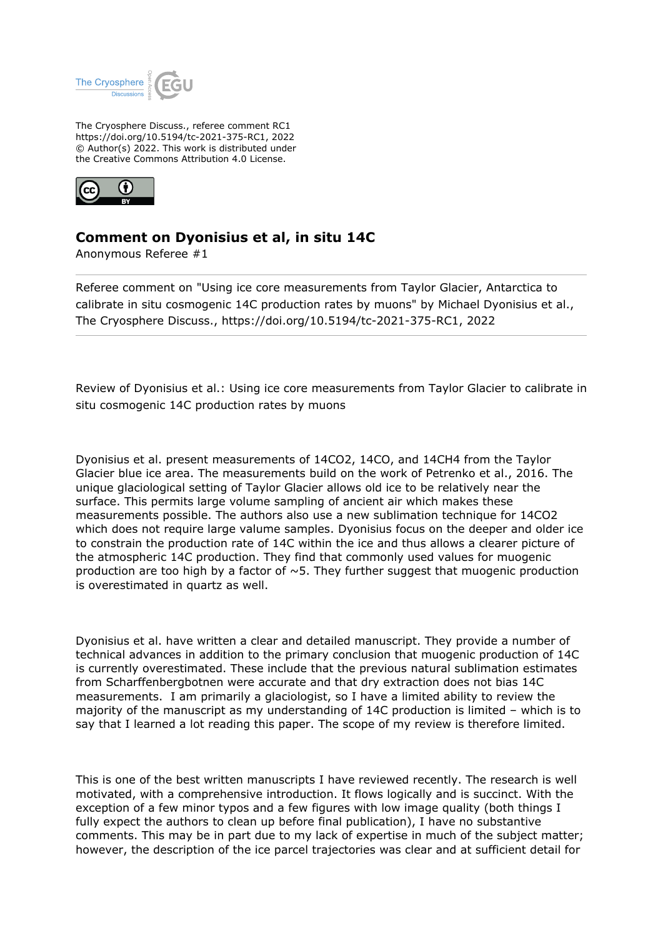

The Cryosphere Discuss., referee comment RC1 https://doi.org/10.5194/tc-2021-375-RC1, 2022 © Author(s) 2022. This work is distributed under the Creative Commons Attribution 4.0 License.



## **Comment on Dyonisius et al, in situ 14C**

Anonymous Referee #1

Referee comment on "Using ice core measurements from Taylor Glacier, Antarctica to calibrate in situ cosmogenic 14C production rates by muons" by Michael Dyonisius et al., The Cryosphere Discuss., https://doi.org/10.5194/tc-2021-375-RC1, 2022

Review of Dyonisius et al.: Using ice core measurements from Taylor Glacier to calibrate in situ cosmogenic 14C production rates by muons

Dyonisius et al. present measurements of 14CO2, 14CO, and 14CH4 from the Taylor Glacier blue ice area. The measurements build on the work of Petrenko et al., 2016. The unique glaciological setting of Taylor Glacier allows old ice to be relatively near the surface. This permits large volume sampling of ancient air which makes these measurements possible. The authors also use a new sublimation technique for 14CO2 which does not require large valume samples. Dyonisius focus on the deeper and older ice to constrain the production rate of 14C within the ice and thus allows a clearer picture of the atmospheric 14C production. They find that commonly used values for muogenic production are too high by a factor of  $\sim$  5. They further suggest that muogenic production is overestimated in quartz as well.

Dyonisius et al. have written a clear and detailed manuscript. They provide a number of technical advances in addition to the primary conclusion that muogenic production of 14C is currently overestimated. These include that the previous natural sublimation estimates from Scharffenbergbotnen were accurate and that dry extraction does not bias 14C measurements. I am primarily a glaciologist, so I have a limited ability to review the majority of the manuscript as my understanding of 14C production is limited – which is to say that I learned a lot reading this paper. The scope of my review is therefore limited.

This is one of the best written manuscripts I have reviewed recently. The research is well motivated, with a comprehensive introduction. It flows logically and is succinct. With the exception of a few minor typos and a few figures with low image quality (both things I fully expect the authors to clean up before final publication), I have no substantive comments. This may be in part due to my lack of expertise in much of the subject matter; however, the description of the ice parcel trajectories was clear and at sufficient detail for